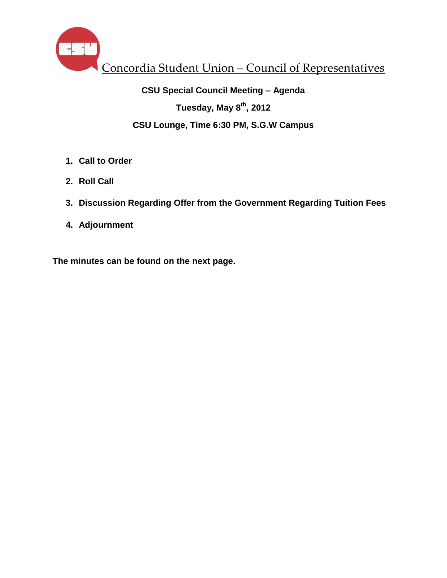

# **CSU Special Council Meeting – Agenda Tuesday, May 8th , 2012 CSU Lounge, Time 6:30 PM, S.G.W Campus**

- **1. Call to Order**
- **2. Roll Call**
- **3. Discussion Regarding Offer from the Government Regarding Tuition Fees**
- **4. Adjournment**

**The minutes can be found on the next page.**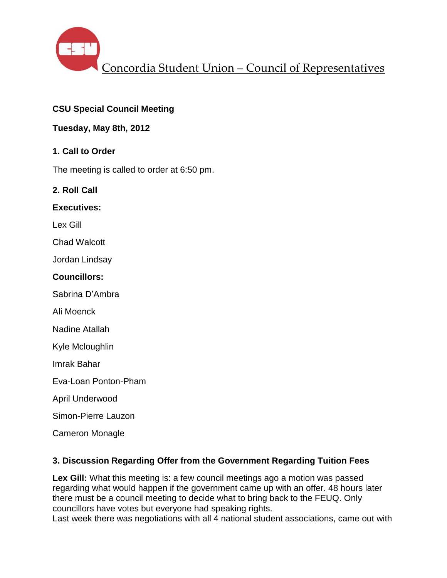

## **CSU Special Council Meeting**

## **Tuesday, May 8th, 2012**

## **1. Call to Order**

The meeting is called to order at 6:50 pm.

### **2. Roll Call**

#### **Executives:**

Lex Gill

Chad Walcott

Jordan Lindsay

#### **Councillors:**

Sabrina D'Ambra

Ali Moenck

Nadine Atallah

Kyle Mcloughlin

Imrak Bahar

Eva-Loan Ponton-Pham

April Underwood

Simon-Pierre Lauzon

Cameron Monagle

#### **3. Discussion Regarding Offer from the Government Regarding Tuition Fees**

Lex Gill: What this meeting is: a few council meetings ago a motion was passed regarding what would happen if the government came up with an offer. 48 hours later there must be a council meeting to decide what to bring back to the FEUQ. Only councillors have votes but everyone had speaking rights.

Last week there was negotiations with all 4 national student associations, came out with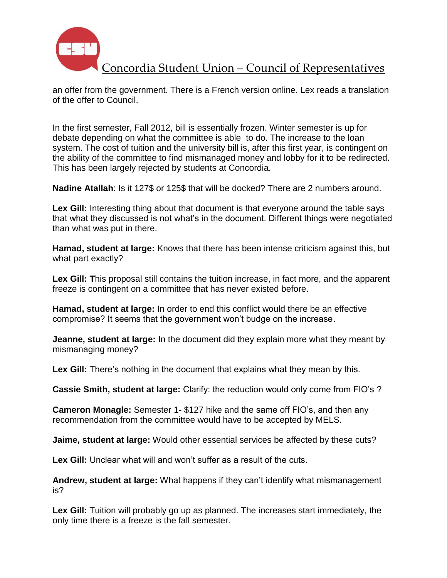

Concordia Student Union – Council of Representatives

an offer from the government. There is a French version online. Lex reads a translation of the offer to Council.

In the first semester, Fall 2012, bill is essentially frozen. Winter semester is up for debate depending on what the committee is able to do. The increase to the loan system. The cost of tuition and the university bill is, after this first year, is contingent on the ability of the committee to find mismanaged money and lobby for it to be redirected. This has been largely rejected by students at Concordia.

**Nadine Atallah**: Is it 127\$ or 125\$ that will be docked? There are 2 numbers around.

**Lex Gill:** Interesting thing about that document is that everyone around the table says that what they discussed is not what's in the document. Different things were negotiated than what was put in there.

**Hamad, student at large:** Knows that there has been intense criticism against this, but what part exactly?

**Lex Gill: T**his proposal still contains the tuition increase, in fact more, and the apparent freeze is contingent on a committee that has never existed before.

**Hamad, student at large: I**n order to end this conflict would there be an effective compromise? It seems that the government won't budge on the increase.

**Jeanne, student at large:** In the document did they explain more what they meant by mismanaging money?

**Lex Gill:** There's nothing in the document that explains what they mean by this.

**Cassie Smith, student at large:** Clarify: the reduction would only come from FIO's ?

**Cameron Monagle:** Semester 1- \$127 hike and the same off FIO's, and then any recommendation from the committee would have to be accepted by MELS.

**Jaime, student at large:** Would other essential services be affected by these cuts?

**Lex Gill:** Unclear what will and won't suffer as a result of the cuts.

**Andrew, student at large:** What happens if they can't identify what mismanagement is?

**Lex Gill:** Tuition will probably go up as planned. The increases start immediately, the only time there is a freeze is the fall semester.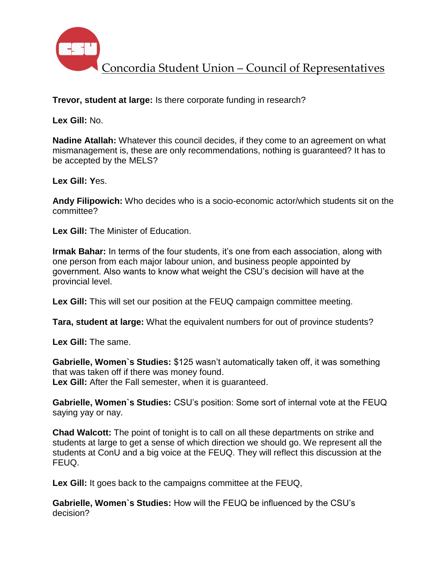

**Trevor, student at large:** Is there corporate funding in research?

**Lex Gill:** No.

**Nadine Atallah:** Whatever this council decides, if they come to an agreement on what mismanagement is, these are only recommendations, nothing is guaranteed? It has to be accepted by the MELS?

**Lex Gill: Y**es.

**Andy Filipowich:** Who decides who is a socio-economic actor/which students sit on the committee?

**Lex Gill:** The Minister of Education.

**Irmak Bahar:** In terms of the four students, it's one from each association, along with one person from each major labour union, and business people appointed by government. Also wants to know what weight the CSU's decision will have at the provincial level.

**Lex Gill:** This will set our position at the FEUQ campaign committee meeting.

**Tara, student at large:** What the equivalent numbers for out of province students?

**Lex Gill:** The same.

**Gabrielle, Women`s Studies:** \$125 wasn't automatically taken off, it was something that was taken off if there was money found. **Lex Gill:** After the Fall semester, when it is guaranteed.

**Gabrielle, Women`s Studies:** CSU's position: Some sort of internal vote at the FEUQ saying yay or nay.

**Chad Walcott:** The point of tonight is to call on all these departments on strike and students at large to get a sense of which direction we should go. We represent all the students at ConU and a big voice at the FEUQ. They will reflect this discussion at the FEUQ.

Lex Gill: It goes back to the campaigns committee at the FEUQ,

**Gabrielle, Women`s Studies:** How will the FEUQ be influenced by the CSU's decision?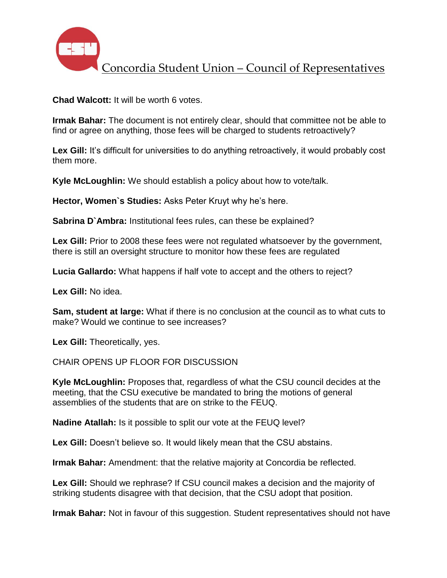

**Chad Walcott:** It will be worth 6 votes.

**Irmak Bahar:** The document is not entirely clear, should that committee not be able to find or agree on anything, those fees will be charged to students retroactively?

Lex Gill: It's difficult for universities to do anything retroactively, it would probably cost them more.

**Kyle McLoughlin:** We should establish a policy about how to vote/talk.

**Hector, Women`s Studies:** Asks Peter Kruyt why he's here.

**Sabrina D`Ambra:** Institutional fees rules, can these be explained?

**Lex Gill:** Prior to 2008 these fees were not regulated whatsoever by the government, there is still an oversight structure to monitor how these fees are regulated

**Lucia Gallardo:** What happens if half vote to accept and the others to reject?

**Lex Gill:** No idea.

**Sam, student at large:** What if there is no conclusion at the council as to what cuts to make? Would we continue to see increases?

**Lex Gill:** Theoretically, yes.

CHAIR OPENS UP FLOOR FOR DISCUSSION

**Kyle McLoughlin:** Proposes that, regardless of what the CSU council decides at the meeting, that the CSU executive be mandated to bring the motions of general assemblies of the students that are on strike to the FEUQ.

**Nadine Atallah:** Is it possible to split our vote at the FEUQ level?

Lex Gill: Doesn't believe so. It would likely mean that the CSU abstains.

**Irmak Bahar:** Amendment: that the relative majority at Concordia be reflected.

**Lex Gill:** Should we rephrase? If CSU council makes a decision and the majority of striking students disagree with that decision, that the CSU adopt that position.

**Irmak Bahar:** Not in favour of this suggestion. Student representatives should not have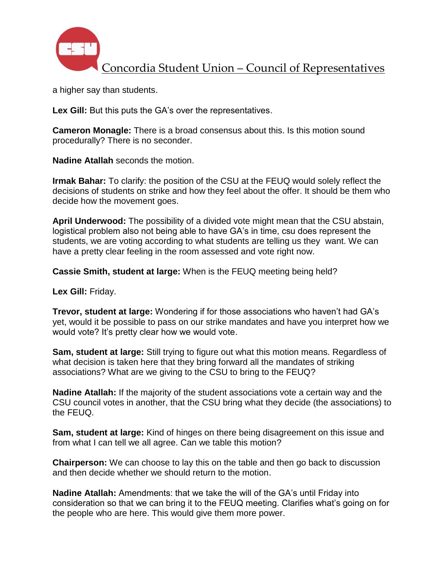

a higher say than students.

**Lex Gill:** But this puts the GA's over the representatives.

**Cameron Monagle:** There is a broad consensus about this. Is this motion sound procedurally? There is no seconder.

**Nadine Atallah** seconds the motion.

**Irmak Bahar:** To clarify: the position of the CSU at the FEUQ would solely reflect the decisions of students on strike and how they feel about the offer. It should be them who decide how the movement goes.

**April Underwood:** The possibility of a divided vote might mean that the CSU abstain, logistical problem also not being able to have GA's in time, csu does represent the students, we are voting according to what students are telling us they want. We can have a pretty clear feeling in the room assessed and vote right now.

**Cassie Smith, student at large:** When is the FEUQ meeting being held?

**Lex Gill:** Friday.

**Trevor, student at large:** Wondering if for those associations who haven't had GA's yet, would it be possible to pass on our strike mandates and have you interpret how we would vote? It's pretty clear how we would vote.

**Sam, student at large:** Still trying to figure out what this motion means. Regardless of what decision is taken here that they bring forward all the mandates of striking associations? What are we giving to the CSU to bring to the FEUQ?

**Nadine Atallah:** If the majority of the student associations vote a certain way and the CSU council votes in another, that the CSU bring what they decide (the associations) to the FEUQ.

**Sam, student at large:** Kind of hinges on there being disagreement on this issue and from what I can tell we all agree. Can we table this motion?

**Chairperson:** We can choose to lay this on the table and then go back to discussion and then decide whether we should return to the motion.

**Nadine Atallah:** Amendments: that we take the will of the GA's until Friday into consideration so that we can bring it to the FEUQ meeting. Clarifies what's going on for the people who are here. This would give them more power.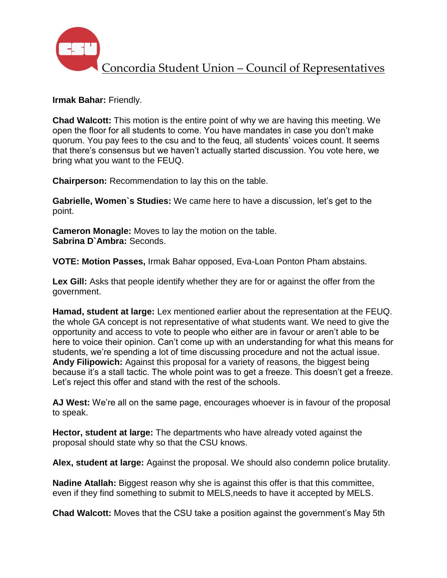

**Irmak Bahar:** Friendly.

**Chad Walcott:** This motion is the entire point of why we are having this meeting. We open the floor for all students to come. You have mandates in case you don't make quorum. You pay fees to the csu and to the feuq, all students' voices count. It seems that there's consensus but we haven't actually started discussion. You vote here, we bring what you want to the FEUQ.

**Chairperson:** Recommendation to lay this on the table.

**Gabrielle, Women`s Studies:** We came here to have a discussion, let's get to the point.

**Cameron Monagle:** Moves to lay the motion on the table. **Sabrina D`Ambra:** Seconds.

**VOTE: Motion Passes,** Irmak Bahar opposed, Eva-Loan Ponton Pham abstains.

**Lex Gill:** Asks that people identify whether they are for or against the offer from the government.

**Hamad, student at large:** Lex mentioned earlier about the representation at the FEUQ. the whole GA concept is not representative of what students want. We need to give the opportunity and access to vote to people who either are in favour or aren't able to be here to voice their opinion. Can't come up with an understanding for what this means for students, we're spending a lot of time discussing procedure and not the actual issue. **Andy Filipowich:** Against this proposal for a variety of reasons, the biggest being because it's a stall tactic. The whole point was to get a freeze. This doesn't get a freeze. Let's reject this offer and stand with the rest of the schools.

**AJ West:** We're all on the same page, encourages whoever is in favour of the proposal to speak.

**Hector, student at large:** The departments who have already voted against the proposal should state why so that the CSU knows.

**Alex, student at large:** Against the proposal. We should also condemn police brutality.

**Nadine Atallah:** Biggest reason why she is against this offer is that this committee, even if they find something to submit to MELS,needs to have it accepted by MELS.

**Chad Walcott:** Moves that the CSU take a position against the government's May 5th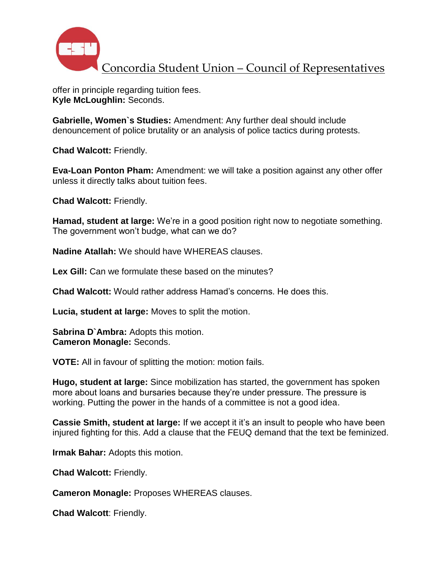

offer in principle regarding tuition fees. **Kyle McLoughlin:** Seconds.

**Gabrielle, Women`s Studies:** Amendment: Any further deal should include denouncement of police brutality or an analysis of police tactics during protests.

**Chad Walcott:** Friendly.

**Eva-Loan Ponton Pham:** Amendment: we will take a position against any other offer unless it directly talks about tuition fees.

**Chad Walcott:** Friendly.

**Hamad, student at large:** We're in a good position right now to negotiate something. The government won't budge, what can we do?

**Nadine Atallah:** We should have WHEREAS clauses.

**Lex Gill:** Can we formulate these based on the minutes?

**Chad Walcott:** Would rather address Hamad's concerns. He does this.

**Lucia, student at large:** Moves to split the motion.

**Sabrina D`Ambra:** Adopts this motion. **Cameron Monagle:** Seconds.

**VOTE:** All in favour of splitting the motion: motion fails.

**Hugo, student at large:** Since mobilization has started, the government has spoken more about loans and bursaries because they're under pressure. The pressure is working. Putting the power in the hands of a committee is not a good idea.

**Cassie Smith, student at large:** If we accept it it's an insult to people who have been injured fighting for this. Add a clause that the FEUQ demand that the text be feminized.

**Irmak Bahar:** Adopts this motion.

**Chad Walcott:** Friendly.

**Cameron Monagle:** Proposes WHEREAS clauses.

**Chad Walcott**: Friendly.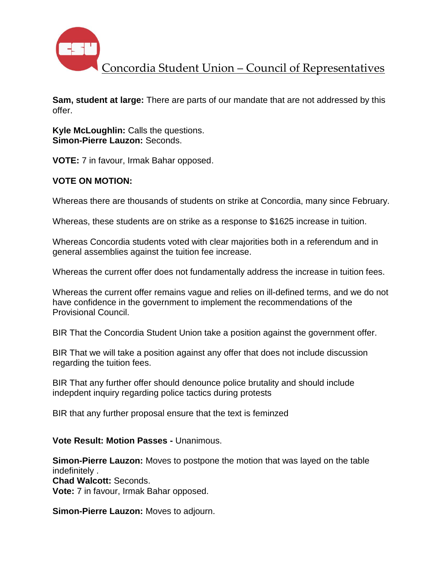

Concordia Student Union – Council of Representatives

**Sam, student at large:** There are parts of our mandate that are not addressed by this offer.

**Kyle McLoughlin:** Calls the questions. **Simon-Pierre Lauzon:** Seconds.

**VOTE:** 7 in favour, Irmak Bahar opposed.

## **VOTE ON MOTION:**

Whereas there are thousands of students on strike at Concordia, many since February.

Whereas, these students are on strike as a response to \$1625 increase in tuition.

Whereas Concordia students voted with clear majorities both in a referendum and in general assemblies against the tuition fee increase.

Whereas the current offer does not fundamentally address the increase in tuition fees.

Whereas the current offer remains vague and relies on ill-defined terms, and we do not have confidence in the government to implement the recommendations of the Provisional Council.

BIR That the Concordia Student Union take a position against the government offer.

BIR That we will take a position against any offer that does not include discussion regarding the tuition fees.

BIR That any further offer should denounce police brutality and should include indepdent inquiry regarding police tactics during protests

BIR that any further proposal ensure that the text is feminzed

## **Vote Result: Motion Passes -** Unanimous.

**Simon-Pierre Lauzon:** Moves to postpone the motion that was layed on the table indefinitely . **Chad Walcott:** Seconds. **Vote:** 7 in favour, Irmak Bahar opposed.

**Simon-Pierre Lauzon:** Moves to adjourn.